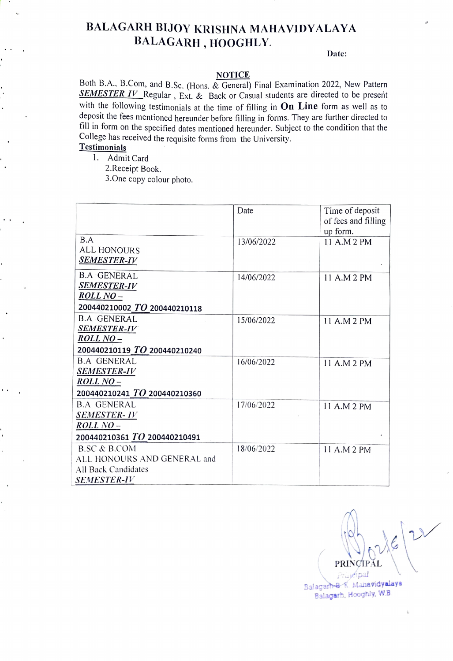## BALAGARH BIJOY KRISHNA MAHAVIDYALAYA BALAGARH, HOOGHLY.

#### Date:

#### **NOTICE**

Both B.A.. B.Com, and B.Sc. (Hons. & General) Final Examination 2022, New Pattern **SEMESTER IV** Regular, Ext. & Back or Casual students are directed to be present with the following testimonials at the time of filling in  $On$  Line form as well as to deposit the fees mentioned hereunder before filling in forms. They are further directed to fill in form on the specified dates mentioned hereunder. Subject to the condition that the College has received the requisite forms from the University.

### **Testimonials**

1. Admit Card

2.Receipt Book.

3.One copy colour photo.

|                                | Date       | Time of deposit<br>of fees and filling<br>up form. |
|--------------------------------|------------|----------------------------------------------------|
| B.A                            | 13/06/2022 | 11 A.M 2 PM                                        |
| <b>ALL HONOURS</b>             |            |                                                    |
| SEMESTER-IV                    |            |                                                    |
| <b>B.A GENERAL</b>             | 14/06/2022 | 11 A.M 2 PM                                        |
| <b>SEMESTER-IV</b>             |            |                                                    |
| ROLL NO –                      |            |                                                    |
| 200440210002 TO 200440210118   |            |                                                    |
| <b>B.A GENERAL</b>             | 15/06/2022 | 11 A.M 2 PM                                        |
| <b>SEMESTER-IV</b>             |            |                                                    |
| ROLL NO -                      |            |                                                    |
| 200440210119 TO 200440210240   |            |                                                    |
| <b>B.A GENERAL</b>             | 16/06/2022 | 11 A.M 2 PM                                        |
| <b>SEMESTER-IV</b>             |            |                                                    |
| ROLL NO –                      |            |                                                    |
| 200440210241 $TO$ 200440210360 |            |                                                    |
| B.A GENERAL                    | 17/06/2022 | 11 A.M 2 PM                                        |
| SEMESTER- IV                   |            |                                                    |
| ROLL NO-                       |            |                                                    |
| 200440210361 TO 200440210491   |            |                                                    |
| B.SC & B.COM                   | 18/06/2022 | 11 A.M 2 PM                                        |
| ALL HONOURS AND GENERAL and    |            |                                                    |
| <b>All Back Candidates</b>     |            |                                                    |
| <b>SEMESTER-IV</b>             |            |                                                    |

**PRINCIPAL** Prügeipal Balagarh-B K. Mahavidyalaya Balagarh, Hooghly, WB